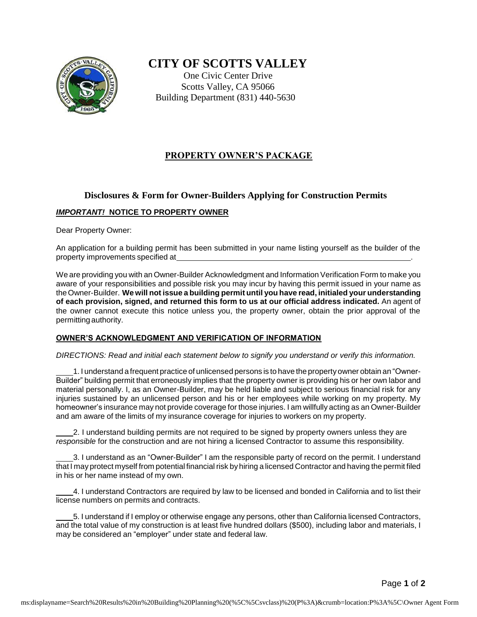

# **CITY OF SCOTTS VALLEY**

One Civic Center Drive Scotts Valley, CA 95066 Building Department (831) 440-5630

## **PROPERTY OWNER'S PACKAGE**

## **Disclosures & Form for Owner-Builders Applying for Construction Permits**

### *IMPORTANT!* **NOTICE TO PROPERTY OWNER**

Dear Property Owner:

An application for a building permit has been submitted in your name listing yourself as the builder of the property improvements specified at .

We are providing you with an Owner-Builder Acknowledgment and Information Verification Form to make you aware of your responsibilities and possible risk you may incur by having this permit issued in your name as theOwner-Builder. **We will not issue a building permit until you have read, initialed your understanding of each provision, signed, and returned this form to us at our official address indicated.** An agent of the owner cannot execute this notice unless you, the property owner, obtain the prior approval of the permitting authority.

#### **OWNER'S ACKNOWLEDGMENT AND VERIFICATION OF INFORMATION**

*DIRECTIONS: Read and initial each statement below to signify you understand or verify this information.*

 1. I understand a frequent practice of unlicensed persons is to have the property owner obtain an "Owner-Builder" building permit that erroneously implies that the property owner is providing his or her own labor and material personally. I, as an Owner-Builder, may be held liable and subject to serious financial risk for any injuries sustained by an unlicensed person and his or her employees while working on my property. My homeowner's insurance may not provide coverage for those injuries. I am willfully acting as an Owner-Builder and am aware of the limits of my insurance coverage for injuries to workers on my property.

 2. I understand building permits are not required to be signed by property owners unless they are *responsible* for the construction and are not hiring a licensed Contractor to assume this responsibility.

 3. I understand as an "Owner-Builder" I am the responsible party of record on the permit. I understand that I may protect myself from potential financial risk byhiring a licensed Contractor and having the permit filed in his or her name instead of my own.

 4. I understand Contractors are required by law to be licensed and bonded in California and to list their license numbers on permits and contracts.

 5. I understand if I employ or otherwise engage any persons, other than California licensed Contractors, and the total value of my construction is at least five hundred dollars (\$500), including labor and materials, I may be considered an "employer" under state and federal law.